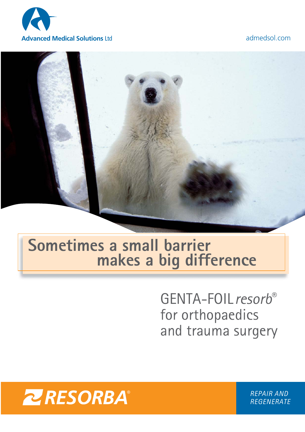



### **Sometimes a small barrier makes a big difference**

GENTA-FOIL*resorb*® for orthopaedics and trauma surgery



*REPAIR AND REGENERATE*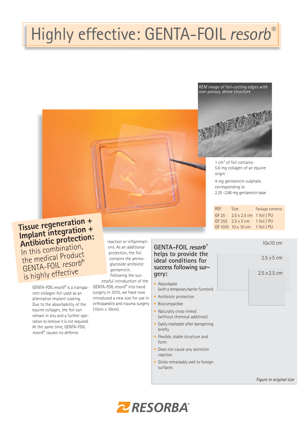## Highly effective: GENTA-FOIL *resorb®*

*REM image of foil-cutting edges with non-porous, dense structure*



1 cm2 of foil contains: 5.6 mg collagen of an equine origin 4 mg gentamicin sulphate, corresponding to

2.20 -2.86 mg gentamicin base

| RFF   | <b>Size</b>                     | Package contents |
|-------|---------------------------------|------------------|
| GF 25 | $2.5 \times 2.5$ cm 1 foil / PU |                  |
|       | GF 255 2.5 x 5 cm               | 1 foil / PU      |
|       | GF 1010 10 x 10 cm              | 1 foil / PU      |

### **Tissue regeneration + Implant integration + Antibiotic protection:** In this combination, the medical Product GENTA-FOIL *resorb*®

is highly effective GENTA-FOIL *resorb*® is a transparent collagen foil used as an alternative implant coating. Due to the absorbability of the equine collagen, the foil can remain in situ and a further operation to remove it is not required. At the same time, GENTA-FOIL

*resorb*® causes no defence

reaction or inflammations. As an additional protection, the foil contains the aminoglycoside antibiotic gentamicin.

Following the successful introduction of the GENTA-FOIL *resorb*® into hand surgery in 2010, we have now introduced a new size for use in orthopaedics and trauma surgery (10cm x 10cm).

### **GENTA-FOIL resorb**® **helps to provide the ideal conditions for success following surgery:**

- Absorbable (with a temporary barrier function)
- Antibiotic protection
- Biocompatible
- Naturally cross-linked (without chemical additives)
- Easily malleable after dampening briefly
- Flexible, stable structure and form
- Does not cause any secretion reaction
- Sticks remarkably well to foreign surfaces

*Figure in original size*



10x10 cm

2.5 x 5 cm

2.5 x 2.5 cm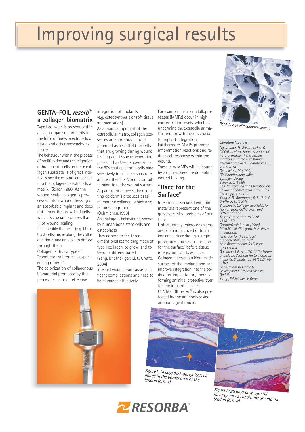# Improving surgical results

### **GENTA-FOIL** resorb<sup>®</sup> **a collagen biomatrix**

Type I collagen is present within a living organism, primarily in the form of fibres in extracellular tissue and other mesenchymal tissues.

The behaviour within the process of proliferation and the migration of human skin cells on these collagen substrate, is of great interest, since the cells are embedded into the collagenous extracellular matrix. (Schor, 1980) As the wound heals, collagen is processed into a wound dressing or an absorbable implant and does not hinder the growth of cells, which is crucial to phases II and III of wound healing.

It is possible that cells (e.g. fibroblast cells) move along the collagen fibres and are able to diffuse through them.

Collagen is thus a type of "conductor rail for cells experiencing growth". The colonization of collagenous

biomaterial promoted by this process leads to an effective

integration of implants (e.g. osteosynthesis or soft tissue augmentation).

As a main component of the extracellular matrix, collagen possesses an enormous natural potential as a scaffold for cells that are growing during wound healing and tissue regeneration phase. It has been known since the 80s that epidermis cells bind selectively to collagen substrates and use them as "conductor rail" to migrate to the wound surface. As part of this process, the migrating epidermis produces basal membrane collagen, which also requires migration.

(Oehmichen,1990)

An analogous behaviour is shown by human bone stem cells and osteoblasts.

They adhere to the threedimensional scaffolding made of type I collagen, to grow, and to become differentiated. (Yang, Bhatna- gar, Li, & Oreffo,  $2004$ 

Infected wounds can cause significant complications and need to be managed effectively.

For example, matrix metalloproteases (MMPs) occur in high concentration levels, which can undermine the extracellular matrix and growth factors crucial to implant integration. Furthermore, MMPs promote inflammation reactions and reduce cell response within the wound.

These very MMPs will be bound by collagen, therefore promoting wound healing.

### **"Race for the Surface"**

Infections associated with biomaterials represent one of the greatest clinical problems of our time.

Unfortunately, microorganisms are often introduced onto an implant surface during a surgical procedure, and begin the "race for the surface" before tissue integration can take place. Collagen represents a biomimetic surface of the implant, and can improve integration into the body after implantation, thereby forming an initial protective layer for the implant surface. GENTA-FOIL *resorb*® is also protected by the aminoglycoside antibiotic gentamicin.



*Figure1: 14 days post-op, typical cell image in the border area of the tendon (arrow)*



*Figure 2: 28 days post-op, still inconspicuous conditions around the tendon (arrow)*



#### *Literature / sources*

*Ng, K., Khor, H., & Hutmacher, D. (2004). In vitro characterization of natural and synthetic dermal matrices cultured with human dermal fibroblasts. Biomaterials 25, 2807-2818. Oehmichen, M. (1990). Die Wundheilung. Köln: Springer-Verlag. Schor, S. L. (1980). Cell Proliferation and Migration on Collagen Substrates in vitro. J. Cell Sci. 41, pp. 159-175. Yang, X. B., Bhatnagar, R. S., Li, S., & Oreffo, R. O. (2004). Biomimetic Collagen Scaffolds for Human Bone Cell Growth and Differentiation. Tissue Engineering 10 (7-8), 11481159. Guruprakash S. et al. (2008). Microbial biofilm growth vs. tissue integration: "The race for the surface" experimentally studied. Acta Biomaterialia Vol.5, Issue 5,13991404. Goodman S. B. et al. (2013) The Future of Biologic Coatings for Orthopaedic Implants. Biomaterials 34 (13):3174- 3183. Department Research & Development, Resorba Medical GmbH: J.Vogt, F.Allgöwer, M.Bauer.*